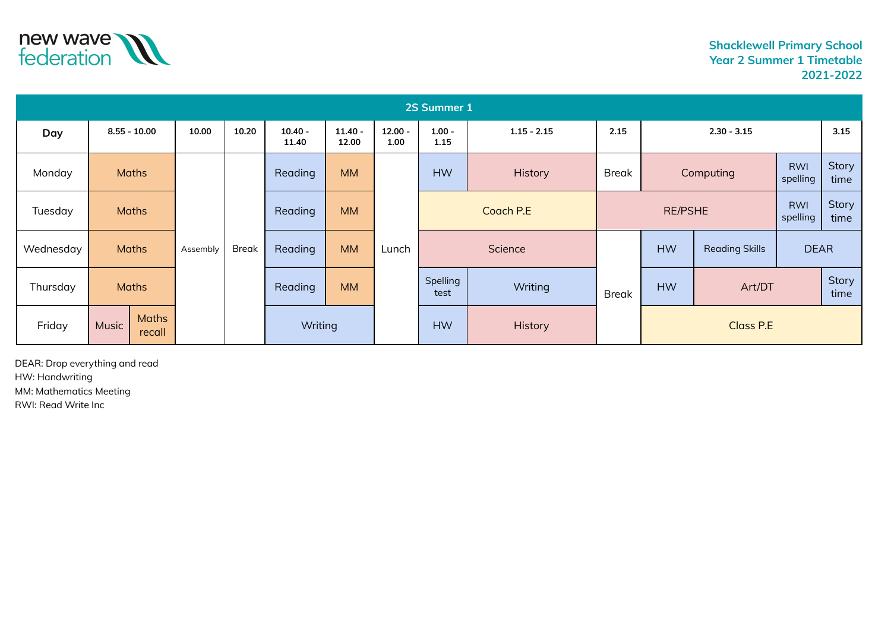

| 2S Summer 1 |                                 |                |                          |       |                    |                    |                   |                                   |         |                              |           |                       |                        |               |
|-------------|---------------------------------|----------------|--------------------------|-------|--------------------|--------------------|-------------------|-----------------------------------|---------|------------------------------|-----------|-----------------------|------------------------|---------------|
| Day         |                                 | $8.55 - 10.00$ | 10.00                    | 10.20 | $10.40 -$<br>11.40 | $11.40 -$<br>12.00 | $12.00 -$<br>1.00 | $1.00 -$<br>$1.15 - 2.15$<br>1.15 |         | 2.15                         |           | $2.30 - 3.15$         |                        |               |
| Monday      |                                 | <b>Maths</b>   |                          |       | Reading            | <b>MM</b>          |                   | <b>HW</b>                         | History | <b>Break</b>                 |           | Computing             | <b>RWI</b><br>spelling | Story<br>time |
| Tuesday     | <b>Maths</b>                    |                |                          |       | Reading            | <b>MM</b>          |                   | Coach P.E                         |         | <b>RWI</b><br><b>RE/PSHE</b> |           | spelling              | Story<br>time          |               |
| Wednesday   | <b>Maths</b>                    |                | <b>Break</b><br>Assembly |       | Reading            | <b>MM</b>          | Lunch             | Science                           |         |                              | <b>HW</b> | <b>Reading Skills</b> | <b>DEAR</b>            |               |
| Thursday    | <b>Maths</b>                    |                |                          |       | Reading            | <b>MM</b>          |                   | Spelling<br>Writing<br>test       |         | <b>Break</b>                 | <b>HW</b> | Art/DT                |                        | Story<br>time |
| Friday      | <b>Maths</b><br>Music<br>recall |                |                          |       | Writing            |                    |                   | <b>HW</b>                         | History |                              | Class P.E |                       |                        |               |

DEAR: Drop everything and read HW: Handwriting MM: Mathematics Meeting RWI: Read Write Inc